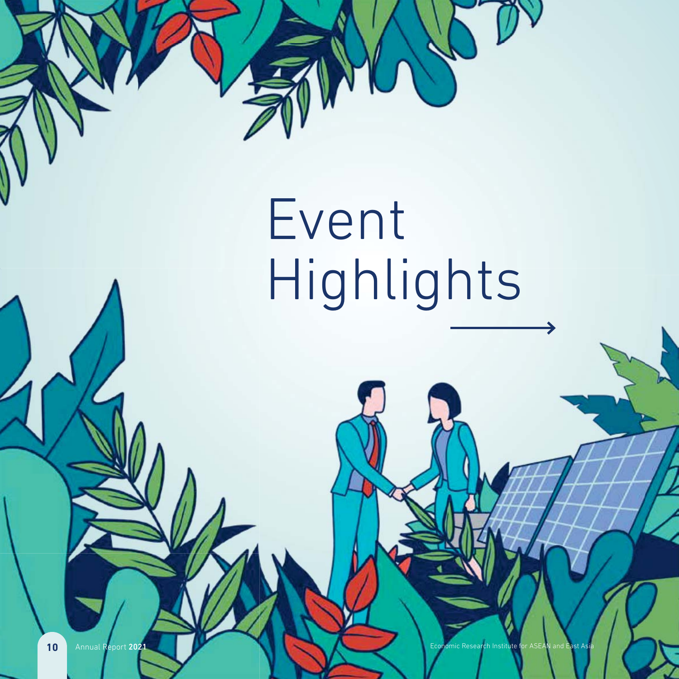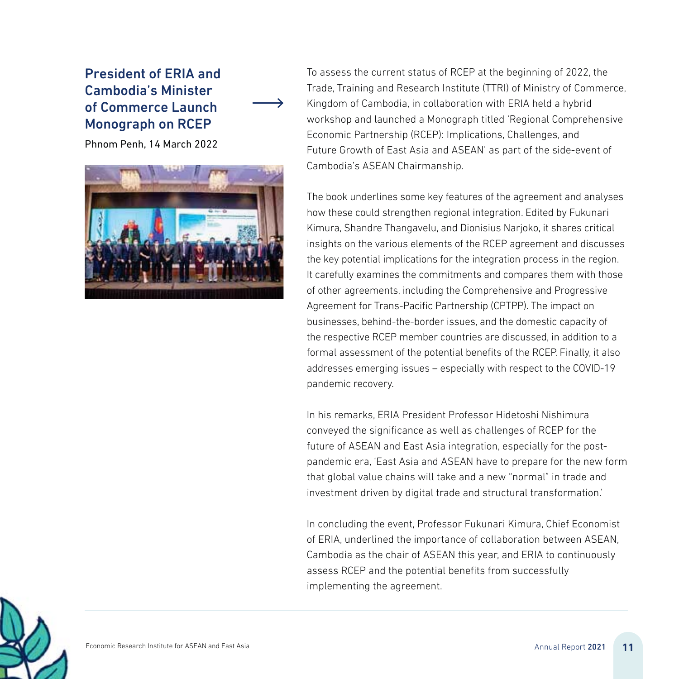## President of ERIA and Cambodia's Minister of Commerce Launch Monograph on RCEP

Phnom Penh, 14 March 2022



To assess the current status of RCEP at the beginning of 2022, the Trade, Training and Research Institute (TTRI) of Ministry of Commerce, Kingdom of Cambodia, in collaboration with ERIA held a hybrid workshop and launched a Monograph titled 'Regional Comprehensive Economic Partnership (RCEP): Implications, Challenges, and Future Growth of East Asia and ASEAN' as part of the side-event of Cambodia's ASEAN Chairmanship.

The book underlines some key features of the agreement and analyses how these could strengthen regional integration. Edited by Fukunari Kimura, Shandre Thangavelu, and Dionisius Narjoko, it shares critical insights on the various elements of the RCEP agreement and discusses the key potential implications for the integration process in the region. It carefully examines the commitments and compares them with those of other agreements, including the Comprehensive and Progressive Agreement for Trans-Pacific Partnership (CPTPP). The impact on businesses, behind-the-border issues, and the domestic capacity of the respective RCEP member countries are discussed, in addition to a formal assessment of the potential benefits of the RCEP. Finally, it also addresses emerging issues – especially with respect to the COVID-19 pandemic recovery.

In his remarks, ERIA President Professor Hidetoshi Nishimura conveyed the significance as well as challenges of RCEP for the future of ASEAN and East Asia integration, especially for the postpandemic era, 'East Asia and ASEAN have to prepare for the new form that global value chains will take and a new "normal" in trade and investment driven by digital trade and structural transformation.'

In concluding the event, Professor Fukunari Kimura, Chief Economist of ERIA, underlined the importance of collaboration between ASEAN, Cambodia as the chair of ASEAN this year, and ERIA to continuously assess RCEP and the potential benefits from successfully implementing the agreement.

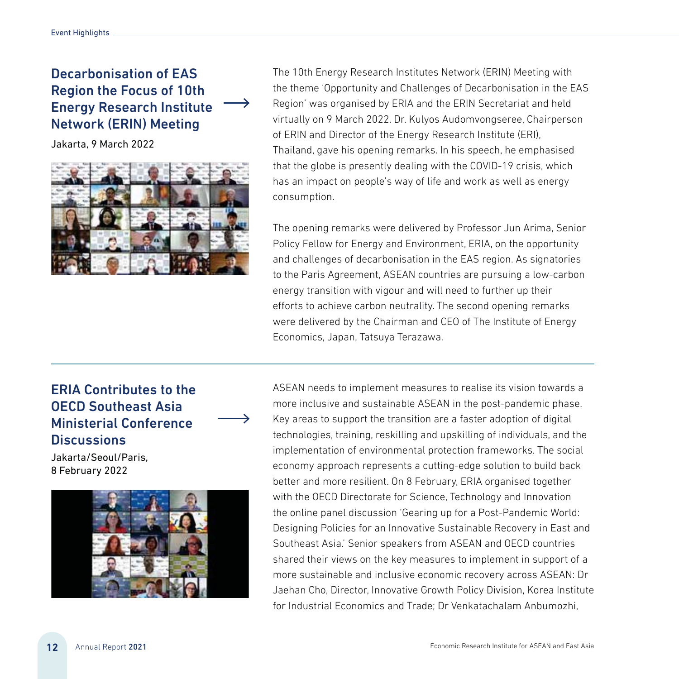## Decarbonisation of EAS Region the Focus of 10th Energy Research Institute Network (ERIN) Meeting

Jakarta, 9 March 2022



The 10th Energy Research Institutes Network (ERIN) Meeting with the theme 'Opportunity and Challenges of Decarbonisation in the EAS Region' was organised by ERIA and the ERIN Secretariat and held virtually on 9 March 2022. Dr. Kulyos Audomvongseree, Chairperson of ERIN and Director of the Energy Research Institute (ERI), Thailand, gave his opening remarks. In his speech, he emphasised that the globe is presently dealing with the COVID-19 crisis, which has an impact on people's way of life and work as well as energy consumption.

The opening remarks were delivered by Professor Jun Arima, Senior Policy Fellow for Energy and Environment, ERIA, on the opportunity and challenges of decarbonisation in the EAS region. As signatories to the Paris Agreement, ASEAN countries are pursuing a low-carbon energy transition with vigour and will need to further up their efforts to achieve carbon neutrality. The second opening remarks were delivered by the Chairman and CEO of The Institute of Energy Economics, Japan, Tatsuya Terazawa.

#### ERIA Contributes to the OECD Southeast Asia Ministerial Conference **Discussions**

Jakarta/Seoul/Paris, 8 February 2022



ASEAN needs to implement measures to realise its vision towards a more inclusive and sustainable ASEAN in the post-pandemic phase. Key areas to support the transition are a faster adoption of digital technologies, training, reskilling and upskilling of individuals, and the implementation of environmental protection frameworks. The social economy approach represents a cutting-edge solution to build back better and more resilient. On 8 February, ERIA organised together with the OECD Directorate for Science, Technology and Innovation the online panel discussion 'Gearing up for a Post-Pandemic World: Designing Policies for an Innovative Sustainable Recovery in East and Southeast Asia.' Senior speakers from ASEAN and OECD countries shared their views on the key measures to implement in support of a more sustainable and inclusive economic recovery across ASEAN: Dr Jaehan Cho, Director, Innovative Growth Policy Division, Korea Institute for Industrial Economics and Trade; Dr Venkatachalam Anbumozhi,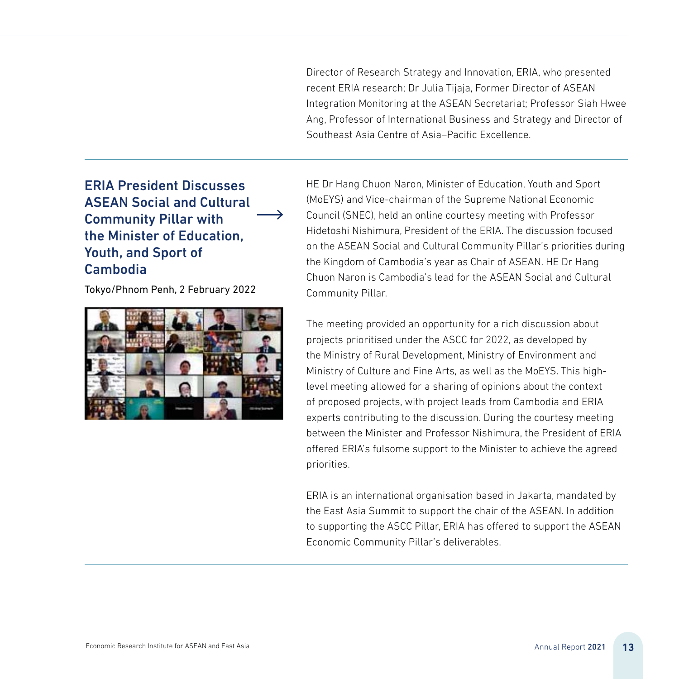Director of Research Strategy and Innovation, ERIA, who presented recent ERIA research; Dr Julia Tijaja, Former Director of ASEAN Integration Monitoring at the ASEAN Secretariat; Professor Siah Hwee Ang, Professor of International Business and Strategy and Director of Southeast Asia Centre of Asia–Pacific Excellence.

## ERIA President Discusses ASEAN Social and Cultural Community Pillar with the Minister of Education, Youth, and Sport of Cambodia

Tokyo/Phnom Penh, 2 February 2022



HE Dr Hang Chuon Naron, Minister of Education, Youth and Sport (MoEYS) and Vice-chairman of the Supreme National Economic Council (SNEC), held an online courtesy meeting with Professor Hidetoshi Nishimura, President of the ERIA. The discussion focused on the ASEAN Social and Cultural Community Pillar's priorities during the Kingdom of Cambodia's year as Chair of ASEAN. HE Dr Hang Chuon Naron is Cambodia's lead for the ASEAN Social and Cultural Community Pillar.

The meeting provided an opportunity for a rich discussion about projects prioritised under the ASCC for 2022, as developed by the Ministry of Rural Development, Ministry of Environment and Ministry of Culture and Fine Arts, as well as the MoEYS. This highlevel meeting allowed for a sharing of opinions about the context of proposed projects, with project leads from Cambodia and ERIA experts contributing to the discussion. During the courtesy meeting between the Minister and Professor Nishimura, the President of ERIA offered ERIA's fulsome support to the Minister to achieve the agreed priorities.

ERIA is an international organisation based in Jakarta, mandated by the East Asia Summit to support the chair of the ASEAN. In addition to supporting the ASCC Pillar, ERIA has offered to support the ASEAN Economic Community Pillar's deliverables.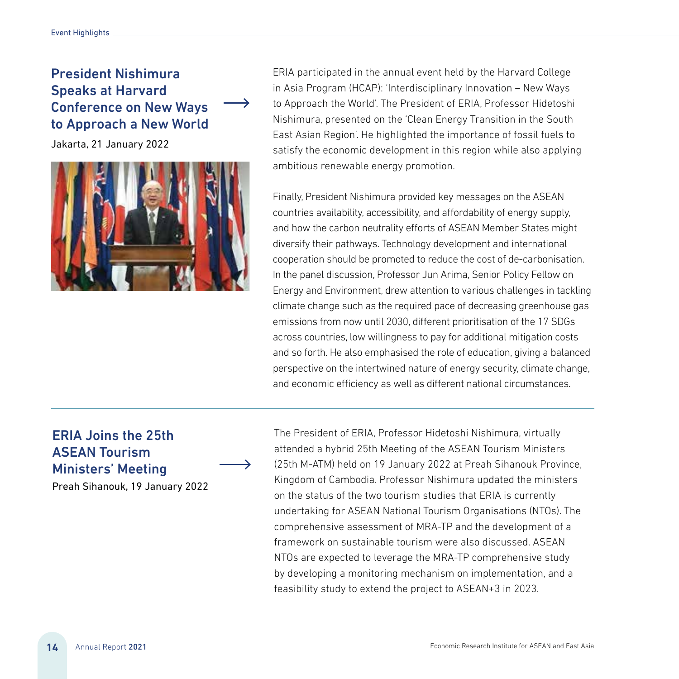### President Nishimura Speaks at Harvard Conference on New Ways to Approach a New World

Jakarta, 21 January 2022



ERIA participated in the annual event held by the Harvard College in Asia Program (HCAP): 'Interdisciplinary Innovation – New Ways to Approach the World'. The President of ERIA, Professor Hidetoshi Nishimura, presented on the 'Clean Energy Transition in the South East Asian Region'. He highlighted the importance of fossil fuels to satisfy the economic development in this region while also applying ambitious renewable energy promotion.

Finally, President Nishimura provided key messages on the ASEAN countries availability, accessibility, and affordability of energy supply, and how the carbon neutrality efforts of ASEAN Member States might diversify their pathways. Technology development and international cooperation should be promoted to reduce the cost of de-carbonisation. In the panel discussion, Professor Jun Arima, Senior Policy Fellow on Energy and Environment, drew attention to various challenges in tackling climate change such as the required pace of decreasing greenhouse gas emissions from now until 2030, different prioritisation of the 17 SDGs across countries, low willingness to pay for additional mitigation costs and so forth. He also emphasised the role of education, giving a balanced perspective on the intertwined nature of energy security, climate change, and economic efficiency as well as different national circumstances.

#### ERIA Joins the 25th ASEAN Tourism Ministers' Meeting

Preah Sihanouk, 19 January 2022

The President of ERIA, Professor Hidetoshi Nishimura, virtually attended a hybrid 25th Meeting of the ASEAN Tourism Ministers (25th M-ATM) held on 19 January 2022 at Preah Sihanouk Province, Kingdom of Cambodia. Professor Nishimura updated the ministers on the status of the two tourism studies that ERIA is currently undertaking for ASEAN National Tourism Organisations (NTOs). The comprehensive assessment of MRA-TP and the development of a framework on sustainable tourism were also discussed. ASEAN NTOs are expected to leverage the MRA-TP comprehensive study by developing a monitoring mechanism on implementation, and a feasibility study to extend the project to ASEAN+3 in 2023.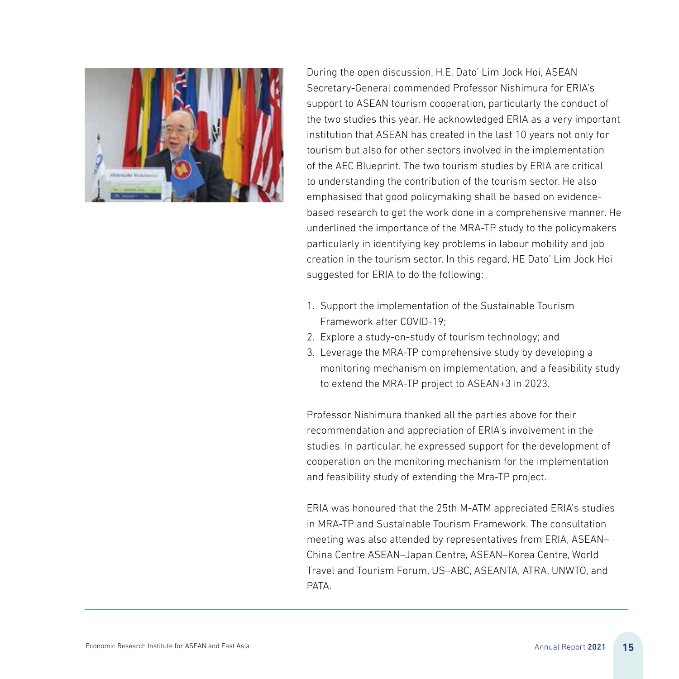

During the open discussion, H.E. Dato' Lim Jock Hoi, ASEAN Secretary-General commended Professor Nishimura for ERIA's support to ASEAN tourism cooperation, particularly the conduct of the two studies this year. He acknowledged ERIA as a very important institution that ASEAN has created in the last 10 years not only for tourism but also for other sectors involved in the implementation of the AEC Blueprint. The two tourism studies by ERIA are critical to understanding the contribution of the tourism sector. He also emphasised that good policymaking shall be based on evidencebased research to get the work done in a comprehensive manner. He underlined the importance of the MRA-TP study to the policymakers particularly in identifying key problems in labour mobility and job creation in the tourism sector. In this regard, HE Dato' Lim Jock Hoi suggested for ERIA to do the following:

- 1. Support the implementation of the Sustainable Tourism Framework after COVID-19;
- 2. Explore a study-on-study of tourism technology; and
- 3. Leverage the MRA-TP comprehensive study by developing a monitoring mechanism on implementation, and a feasibility study to extend the MRA-TP project to ASEAN+3 in 2023.

Professor Nishimura thanked all the parties above for their recommendation and appreciation of ERIA's involvement in the studies. In particular, he expressed support for the development of cooperation on the monitoring mechanism for the implementation and feasibility study of extending the Mra-TP project.

ERIA was honoured that the 25th M-ATM appreciated ERIA's studies in MRA-TP and Sustainable Tourism Framework. The consultation meeting was also attended by representatives from ERIA, ASEAN– China Centre ASEAN–Japan Centre, ASEAN–Korea Centre, World Travel and Tourism Forum, US–ABC, ASEANTA, ATRA, UNWTO, and PATA.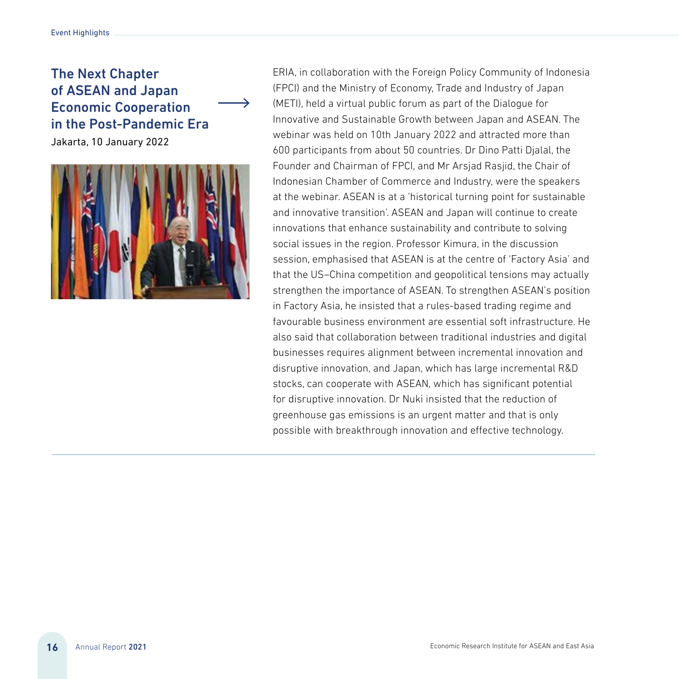# The Next Chapter of ASEAN and Japan Economic Cooperation in the Post-Pandemic Era

Jakarta, 10 January 2022



ERIA, in collaboration with the Foreign Policy Community of Indonesia (FPCI) and the Ministry of Economy, Trade and Industry of Japan (METI), held a virtual public forum as part of the Dialogue for Innovative and Sustainable Growth between Japan and ASEAN. The webinar was held on 10th January 2022 and attracted more than 600 participants from about 50 countries. Dr Dino Patti Djalal, the Founder and Chairman of FPCI, and Mr Arsjad Rasjid, the Chair of Indonesian Chamber of Commerce and Industry, were the speakers at the webinar. ASEAN is at a 'historical turning point for sustainable and innovative transition'. ASEAN and Japan will continue to create innovations that enhance sustainability and contribute to solving social issues in the region. Professor Kimura, in the discussion session, emphasised that ASEAN is at the centre of 'Factory Asia' and that the US–China competition and geopolitical tensions may actually strengthen the importance of ASEAN. To strengthen ASEAN's position in Factory Asia, he insisted that a rules-based trading regime and favourable business environment are essential soft infrastructure. He also said that collaboration between traditional industries and digital businesses requires alignment between incremental innovation and disruptive innovation, and Japan, which has large incremental R&D stocks, can cooperate with ASEAN, which has significant potential for disruptive innovation. Dr Nuki insisted that the reduction of greenhouse gas emissions is an urgent matter and that is only possible with breakthrough innovation and effective technology.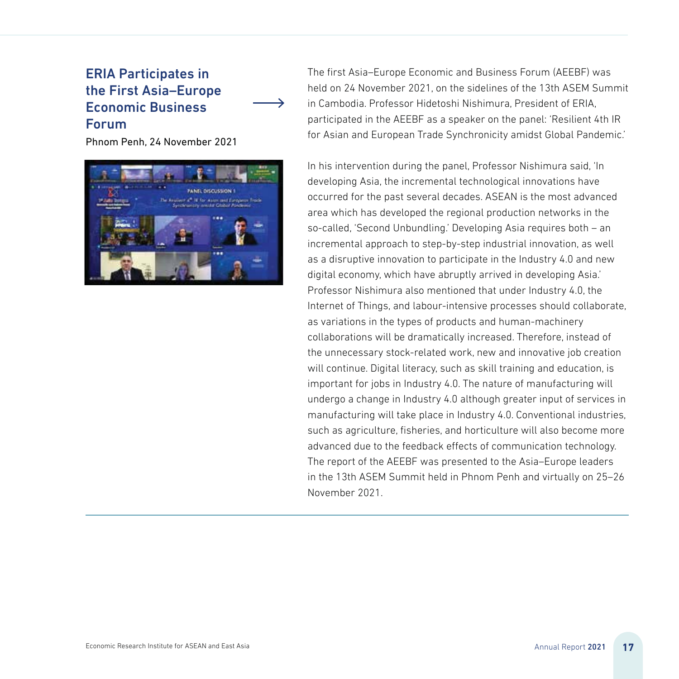#### ERIA Participates in the First Asia–Europe Economic Business Forum

Phnom Penh, 24 November 2021



The first Asia–Europe Economic and Business Forum (AEEBF) was held on 24 November 2021, on the sidelines of the 13th ASEM Summit in Cambodia. Professor Hidetoshi Nishimura, President of ERIA, participated in the AEEBF as a speaker on the panel: 'Resilient 4th IR for Asian and European Trade Synchronicity amidst Global Pandemic.'

In his intervention during the panel, Professor Nishimura said, 'In developing Asia, the incremental technological innovations have occurred for the past several decades. ASEAN is the most advanced area which has developed the regional production networks in the so-called, 'Second Unbundling.' Developing Asia requires both – an incremental approach to step-by-step industrial innovation, as well as a disruptive innovation to participate in the Industry 4.0 and new digital economy, which have abruptly arrived in developing Asia.' Professor Nishimura also mentioned that under Industry 4.0, the Internet of Things, and labour-intensive processes should collaborate, as variations in the types of products and human-machinery collaborations will be dramatically increased. Therefore, instead of the unnecessary stock-related work, new and innovative job creation will continue. Digital literacy, such as skill training and education, is important for jobs in Industry 4.0. The nature of manufacturing will undergo a change in Industry 4.0 although greater input of services in manufacturing will take place in Industry 4.0. Conventional industries, such as agriculture, fisheries, and horticulture will also become more advanced due to the feedback effects of communication technology. The report of the AEEBF was presented to the Asia–Europe leaders in the 13th ASEM Summit held in Phnom Penh and virtually on 25–26 November 2021.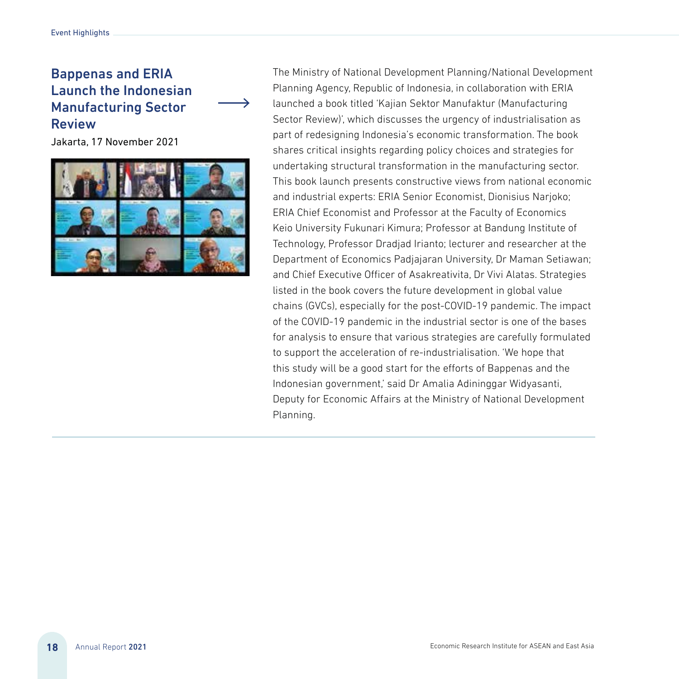#### Bappenas and ERIA Launch the Indonesian Manufacturing Sector Review

Jakarta, 17 November 2021



The Ministry of National Development Planning/National Development Planning Agency, Republic of Indonesia, in collaboration with ERIA launched a book titled 'Kajian Sektor Manufaktur (Manufacturing Sector Review)', which discusses the urgency of industrialisation as part of redesigning Indonesia's economic transformation. The book shares critical insights regarding policy choices and strategies for undertaking structural transformation in the manufacturing sector. This book launch presents constructive views from national economic and industrial experts: ERIA Senior Economist, Dionisius Narjoko; ERIA Chief Economist and Professor at the Faculty of Economics Keio University Fukunari Kimura; Professor at Bandung Institute of Technology, Professor Dradjad Irianto; lecturer and researcher at the Department of Economics Padjajaran University, Dr Maman Setiawan; and Chief Executive Officer of Asakreativita, Dr Vivi Alatas. Strategies listed in the book covers the future development in global value chains (GVCs), especially for the post-COVID-19 pandemic. The impact of the COVID-19 pandemic in the industrial sector is one of the bases for analysis to ensure that various strategies are carefully formulated to support the acceleration of re-industrialisation. 'We hope that this study will be a good start for the efforts of Bappenas and the Indonesian government,' said Dr Amalia Adininggar Widyasanti, Deputy for Economic Affairs at the Ministry of National Development Planning.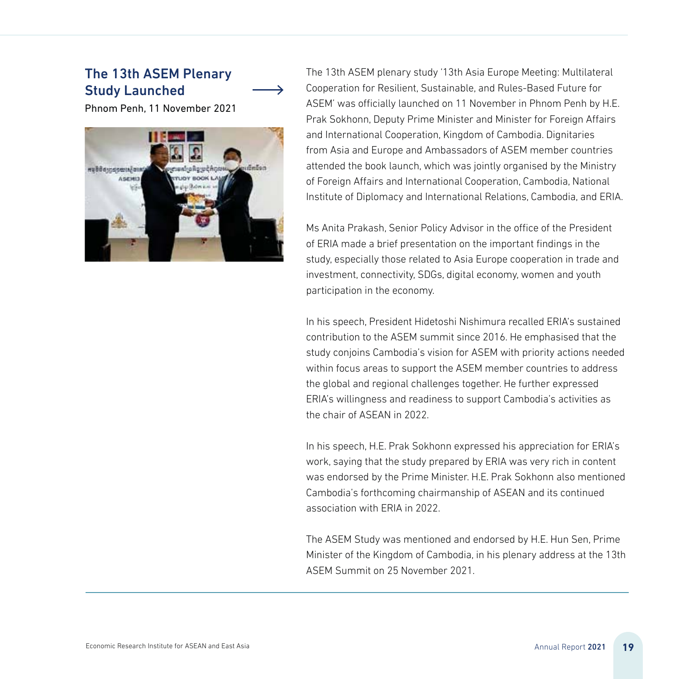#### The 13th ASEM Plenary Study Launched

Phnom Penh, 11 November 2021



The 13th ASEM plenary study '13th Asia Europe Meeting: Multilateral Cooperation for Resilient, Sustainable, and Rules-Based Future for ASEM' was officially launched on 11 November in Phnom Penh by H.E. Prak Sokhonn, Deputy Prime Minister and Minister for Foreign Affairs and International Cooperation, Kingdom of Cambodia. Dignitaries from Asia and Europe and Ambassadors of ASEM member countries attended the book launch, which was jointly organised by the Ministry of Foreign Affairs and International Cooperation, Cambodia, National Institute of Diplomacy and International Relations, Cambodia, and ERIA.

Ms Anita Prakash, Senior Policy Advisor in the office of the President of ERIA made a brief presentation on the important findings in the study, especially those related to Asia Europe cooperation in trade and investment, connectivity, SDGs, digital economy, women and youth participation in the economy.

In his speech, President Hidetoshi Nishimura recalled ERIA's sustained contribution to the ASEM summit since 2016. He emphasised that the study conjoins Cambodia's vision for ASEM with priority actions needed within focus areas to support the ASEM member countries to address the global and regional challenges together. He further expressed ERIA's willingness and readiness to support Cambodia's activities as the chair of ASEAN in 2022.

In his speech, H.E. Prak Sokhonn expressed his appreciation for ERIA's work, saying that the study prepared by ERIA was very rich in content was endorsed by the Prime Minister. H.E. Prak Sokhonn also mentioned Cambodia's forthcoming chairmanship of ASEAN and its continued association with ERIA in 2022.

The ASEM Study was mentioned and endorsed by H.E. Hun Sen, Prime Minister of the Kingdom of Cambodia, in his plenary address at the 13th ASEM Summit on 25 November 2021.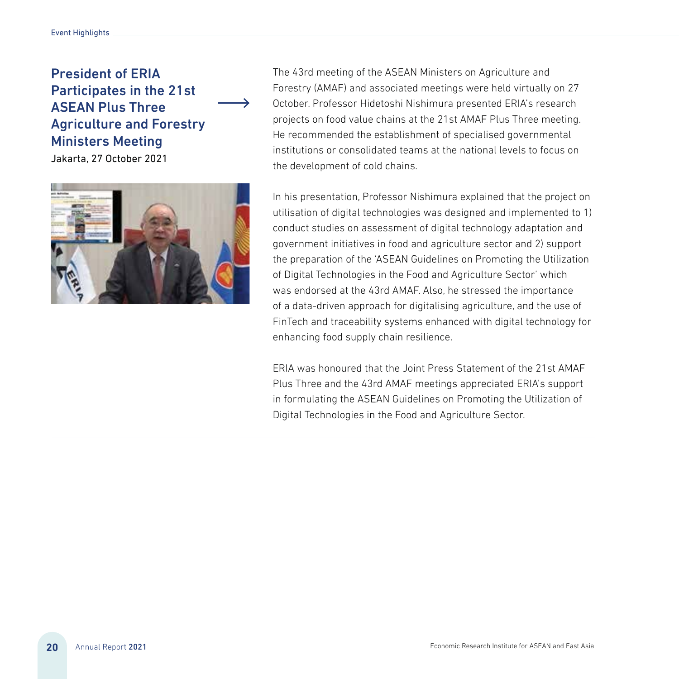#### President of ERIA Participates in the 21st ASEAN Plus Three Agriculture and Forestry Ministers Meeting

Jakarta, 27 October 2021



The 43rd meeting of the ASEAN Ministers on Agriculture and Forestry (AMAF) and associated meetings were held virtually on 27 October. Professor Hidetoshi Nishimura presented ERIA's research projects on food value chains at the 21st AMAF Plus Three meeting. He recommended the establishment of specialised governmental institutions or consolidated teams at the national levels to focus on the development of cold chains.

In his presentation, Professor Nishimura explained that the project on utilisation of digital technologies was designed and implemented to 1) conduct studies on assessment of digital technology adaptation and government initiatives in food and agriculture sector and 2) support the preparation of the 'ASEAN Guidelines on Promoting the Utilization of Digital Technologies in the Food and Agriculture Sector' which was endorsed at the 43rd AMAF. Also, he stressed the importance of a data-driven approach for digitalising agriculture, and the use of FinTech and traceability systems enhanced with digital technology for enhancing food supply chain resilience.

ERIA was honoured that the Joint Press Statement of the 21st AMAF Plus Three and the 43rd AMAF meetings appreciated ERIA's support in formulating the ASEAN Guidelines on Promoting the Utilization of Digital Technologies in the Food and Agriculture Sector.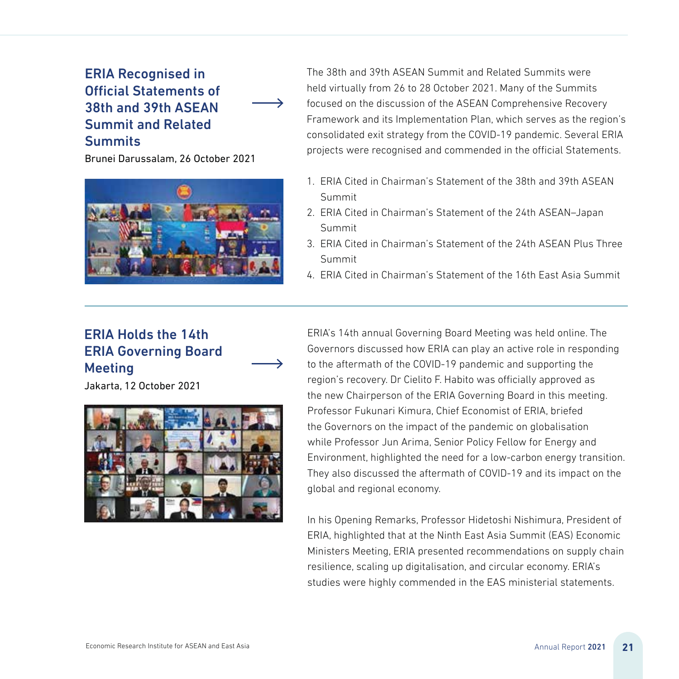#### ERIA Recognised in Official Statements of 38th and 39th ASEAN Summit and Related **Summits**

Brunei Darussalam, 26 October 2021



The 38th and 39th ASEAN Summit and Related Summits were held virtually from 26 to 28 October 2021. Many of the Summits focused on the discussion of the ASEAN Comprehensive Recovery Framework and its Implementation Plan, which serves as the region's consolidated exit strategy from the COVID-19 pandemic. Several ERIA projects were recognised and commended in the official Statements.

- 1. ERIA Cited in Chairman's Statement of the 38th and 39th ASEAN Summit
- 2. ERIA Cited in Chairman's Statement of the 24th ASEAN–Japan Summit
- 3. ERIA Cited in Chairman's Statement of the 24th ASEAN Plus Three Summit
- 4. ERIA Cited in Chairman's Statement of the 16th East Asia Summit

# ERIA Holds the 14th ERIA Governing Board **Meeting**

Jakarta, 12 October 2021



ERIA's 14th annual Governing Board Meeting was held online. The Governors discussed how ERIA can play an active role in responding to the aftermath of the COVID-19 pandemic and supporting the region's recovery. Dr Cielito F. Habito was officially approved as the new Chairperson of the ERIA Governing Board in this meeting. Professor Fukunari Kimura, Chief Economist of ERIA, briefed the Governors on the impact of the pandemic on globalisation while Professor Jun Arima, Senior Policy Fellow for Energy and Environment, highlighted the need for a low-carbon energy transition. They also discussed the aftermath of COVID-19 and its impact on the global and regional economy.

In his Opening Remarks, Professor Hidetoshi Nishimura, President of ERIA, highlighted that at the Ninth East Asia Summit (EAS) Economic Ministers Meeting, ERIA presented recommendations on supply chain resilience, scaling up digitalisation, and circular economy. ERIA's studies were highly commended in the EAS ministerial statements.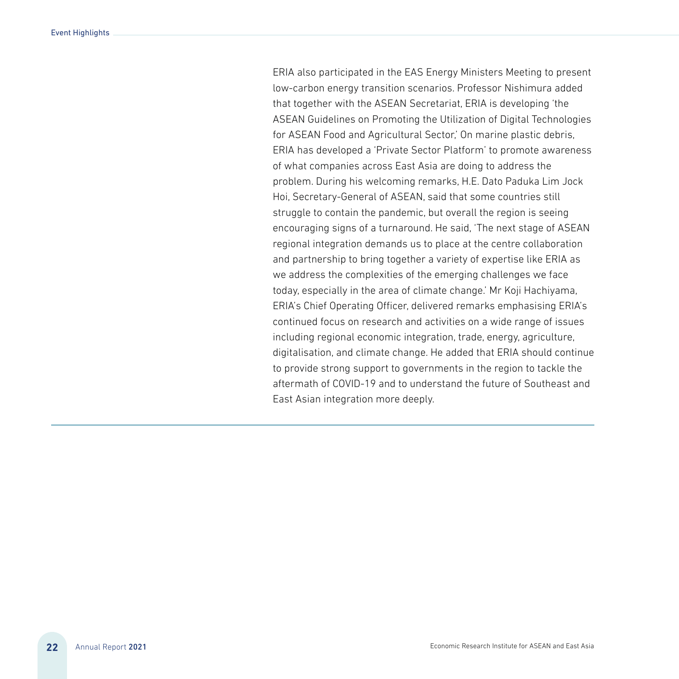ERIA also participated in the EAS Energy Ministers Meeting to present low-carbon energy transition scenarios. Professor Nishimura added that together with the ASEAN Secretariat, ERIA is developing 'the ASEAN Guidelines on Promoting the Utilization of Digital Technologies for ASEAN Food and Agricultural Sector,' On marine plastic debris, ERIA has developed a 'Private Sector Platform' to promote awareness of what companies across East Asia are doing to address the problem. During his welcoming remarks, H.E. Dato Paduka Lim Jock Hoi, Secretary-General of ASEAN, said that some countries still struggle to contain the pandemic, but overall the region is seeing encouraging signs of a turnaround. He said, 'The next stage of ASEAN regional integration demands us to place at the centre collaboration and partnership to bring together a variety of expertise like ERIA as we address the complexities of the emerging challenges we face today, especially in the area of climate change.' Mr Koji Hachiyama, ERIA's Chief Operating Officer, delivered remarks emphasising ERIA's continued focus on research and activities on a wide range of issues including regional economic integration, trade, energy, agriculture, digitalisation, and climate change. He added that ERIA should continue to provide strong support to governments in the region to tackle the aftermath of COVID-19 and to understand the future of Southeast and East Asian integration more deeply.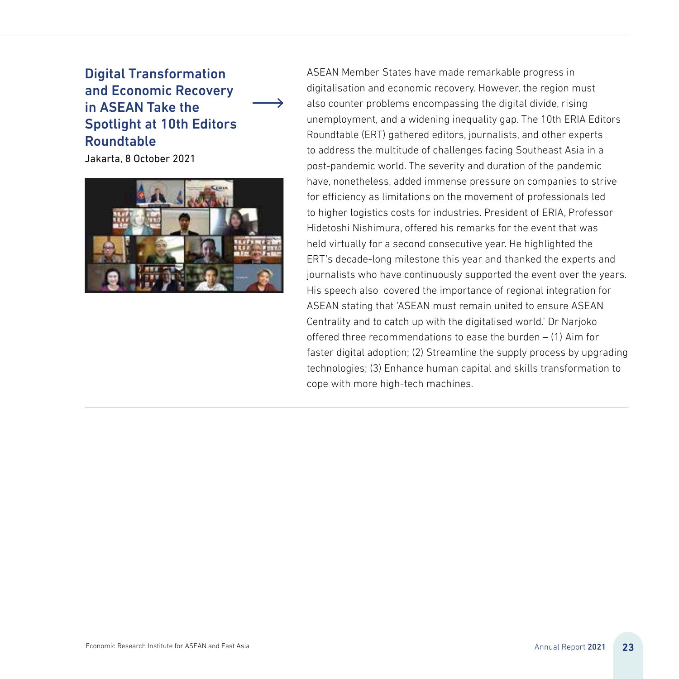#### Digital Transformation and Economic Recovery in ASEAN Take the Spotlight at 10th Editors Roundtable

Jakarta, 8 October 2021



ASEAN Member States have made remarkable progress in digitalisation and economic recovery. However, the region must also counter problems encompassing the digital divide, rising unemployment, and a widening inequality gap. The 10th ERIA Editors Roundtable (ERT) gathered editors, journalists, and other experts to address the multitude of challenges facing Southeast Asia in a post-pandemic world. The severity and duration of the pandemic have, nonetheless, added immense pressure on companies to strive for efficiency as limitations on the movement of professionals led to higher logistics costs for industries. President of ERIA, Professor Hidetoshi Nishimura, offered his remarks for the event that was held virtually for a second consecutive year. He highlighted the ERT's decade-long milestone this year and thanked the experts and journalists who have continuously supported the event over the years. His speech also covered the importance of regional integration for ASEAN stating that 'ASEAN must remain united to ensure ASEAN Centrality and to catch up with the digitalised world.' Dr Narjoko offered three recommendations to ease the burden – (1) Aim for faster digital adoption; (2) Streamline the supply process by upgrading technologies; (3) Enhance human capital and skills transformation to cope with more high-tech machines.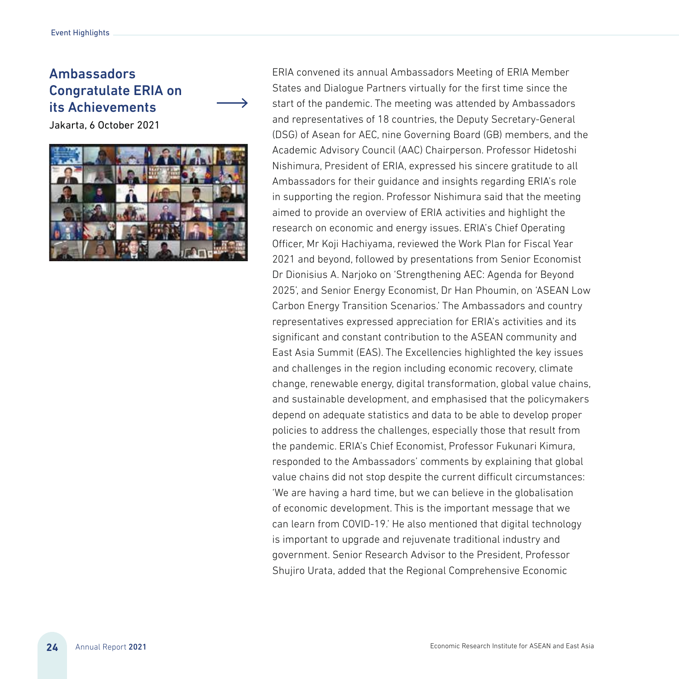### **Ambassadors** Congratulate ERIA on its Achievements

Jakarta, 6 October 2021



ERIA convened its annual Ambassadors Meeting of ERIA Member States and Dialogue Partners virtually for the first time since the start of the pandemic. The meeting was attended by Ambassadors and representatives of 18 countries, the Deputy Secretary-General (DSG) of Asean for AEC, nine Governing Board (GB) members, and the Academic Advisory Council (AAC) Chairperson. Professor Hidetoshi Nishimura, President of ERIA, expressed his sincere gratitude to all Ambassadors for their guidance and insights regarding ERIA's role in supporting the region. Professor Nishimura said that the meeting aimed to provide an overview of ERIA activities and highlight the research on economic and energy issues. ERIA's Chief Operating Officer, Mr Koji Hachiyama, reviewed the Work Plan for Fiscal Year 2021 and beyond, followed by presentations from Senior Economist Dr Dionisius A. Narjoko on 'Strengthening AEC: Agenda for Beyond 2025', and Senior Energy Economist, Dr Han Phoumin, on 'ASEAN Low Carbon Energy Transition Scenarios.' The Ambassadors and country representatives expressed appreciation for ERIA's activities and its significant and constant contribution to the ASEAN community and East Asia Summit (EAS). The Excellencies highlighted the key issues and challenges in the region including economic recovery, climate change, renewable energy, digital transformation, global value chains, and sustainable development, and emphasised that the policymakers depend on adequate statistics and data to be able to develop proper policies to address the challenges, especially those that result from the pandemic. ERIA's Chief Economist, Professor Fukunari Kimura, responded to the Ambassadors' comments by explaining that global value chains did not stop despite the current difficult circumstances: 'We are having a hard time, but we can believe in the globalisation of economic development. This is the important message that we can learn from COVID-19.' He also mentioned that digital technology is important to upgrade and rejuvenate traditional industry and government. Senior Research Advisor to the President, Professor Shujiro Urata, added that the Regional Comprehensive Economic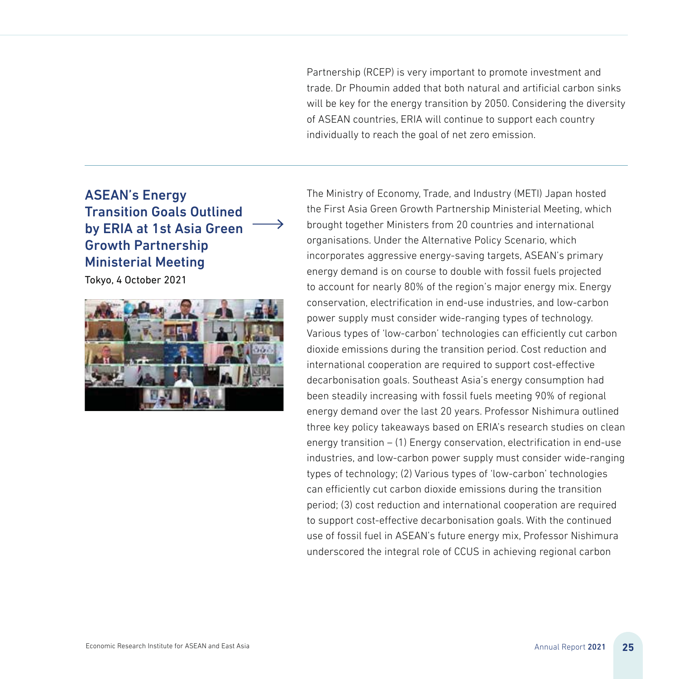Partnership (RCEP) is very important to promote investment and trade. Dr Phoumin added that both natural and artificial carbon sinks will be key for the energy transition by 2050. Considering the diversity of ASEAN countries, ERIA will continue to support each country individually to reach the goal of net zero emission.

# ASEAN's Energy Transition Goals Outlined by ERIA at 1st Asia Green Growth Partnership Ministerial Meeting

Tokyo, 4 October 2021



The Ministry of Economy, Trade, and Industry (METI) Japan hosted the First Asia Green Growth Partnership Ministerial Meeting, which brought together Ministers from 20 countries and international organisations. Under the Alternative Policy Scenario, which incorporates aggressive energy-saving targets, ASEAN's primary energy demand is on course to double with fossil fuels projected to account for nearly 80% of the region's major energy mix. Energy conservation, electrification in end-use industries, and low-carbon power supply must consider wide-ranging types of technology. Various types of 'low-carbon' technologies can efficiently cut carbon dioxide emissions during the transition period. Cost reduction and international cooperation are required to support cost-effective decarbonisation goals. Southeast Asia's energy consumption had been steadily increasing with fossil fuels meeting 90% of regional energy demand over the last 20 years. Professor Nishimura outlined three key policy takeaways based on ERIA's research studies on clean energy transition – (1) Energy conservation, electrification in end-use industries, and low-carbon power supply must consider wide-ranging types of technology; (2) Various types of 'low-carbon' technologies can efficiently cut carbon dioxide emissions during the transition period; (3) cost reduction and international cooperation are required to support cost-effective decarbonisation goals. With the continued use of fossil fuel in ASEAN's future energy mix, Professor Nishimura underscored the integral role of CCUS in achieving regional carbon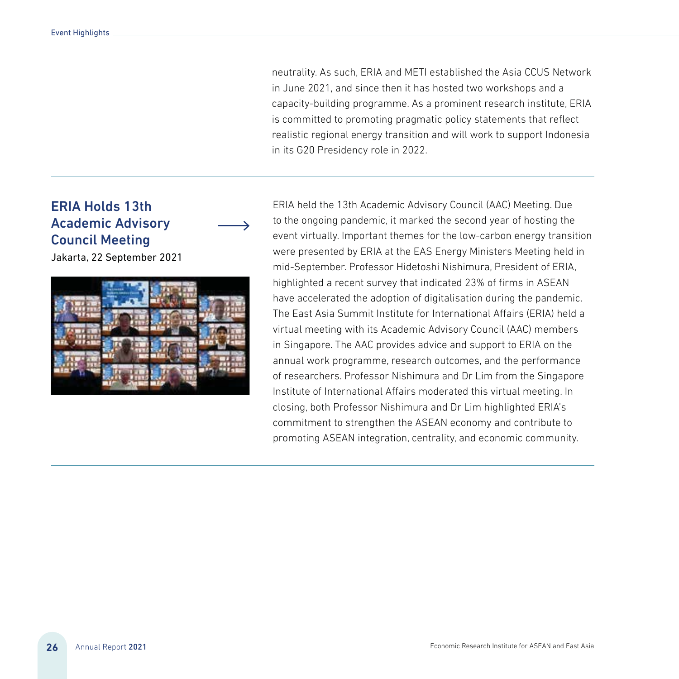neutrality. As such, ERIA and METI established the Asia CCUS Network in June 2021, and since then it has hosted two workshops and a capacity-building programme. As a prominent research institute, ERIA is committed to promoting pragmatic policy statements that reflect realistic regional energy transition and will work to support Indonesia in its G20 Presidency role in 2022.

#### ERIA Holds 13th Academic Advisory Council Meeting

Jakarta, 22 September 2021



ERIA held the 13th Academic Advisory Council (AAC) Meeting. Due to the ongoing pandemic, it marked the second year of hosting the event virtually. Important themes for the low-carbon energy transition were presented by ERIA at the EAS Energy Ministers Meeting held in mid-September. Professor Hidetoshi Nishimura, President of ERIA, highlighted a recent survey that indicated 23% of firms in ASEAN have accelerated the adoption of digitalisation during the pandemic. The East Asia Summit Institute for International Affairs (ERIA) held a virtual meeting with its Academic Advisory Council (AAC) members in Singapore. The AAC provides advice and support to ERIA on the annual work programme, research outcomes, and the performance of researchers. Professor Nishimura and Dr Lim from the Singapore Institute of International Affairs moderated this virtual meeting. In closing, both Professor Nishimura and Dr Lim highlighted ERIA's commitment to strengthen the ASEAN economy and contribute to promoting ASEAN integration, centrality, and economic community.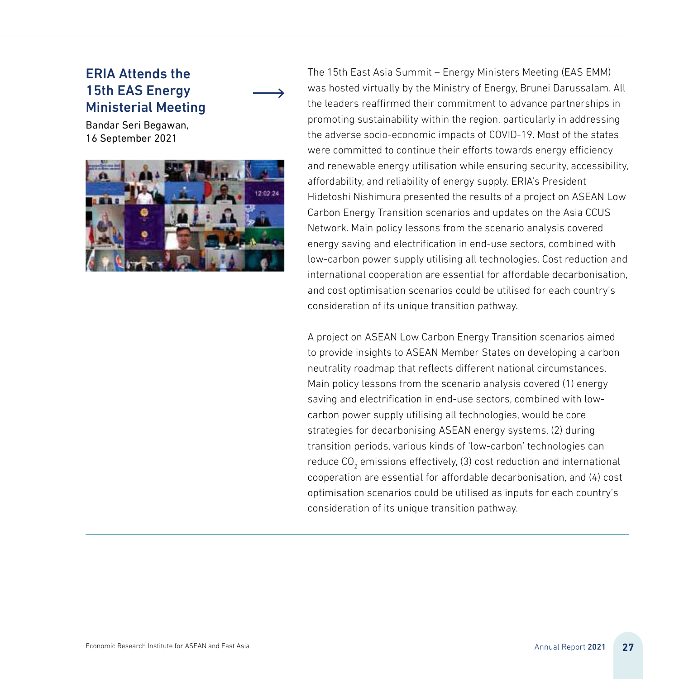#### ERIA Attends the 15th EAS Energy Ministerial Meeting

Bandar Seri Begawan, 16 September 2021



The 15th East Asia Summit – Energy Ministers Meeting (EAS EMM) was hosted virtually by the Ministry of Energy, Brunei Darussalam. All the leaders reaffirmed their commitment to advance partnerships in promoting sustainability within the region, particularly in addressing the adverse socio-economic impacts of COVID-19. Most of the states were committed to continue their efforts towards energy efficiency and renewable energy utilisation while ensuring security, accessibility, affordability, and reliability of energy supply. ERIA's President Hidetoshi Nishimura presented the results of a project on ASEAN Low Carbon Energy Transition scenarios and updates on the Asia CCUS Network. Main policy lessons from the scenario analysis covered energy saving and electrification in end-use sectors, combined with low-carbon power supply utilising all technologies. Cost reduction and international cooperation are essential for affordable decarbonisation, and cost optimisation scenarios could be utilised for each country's consideration of its unique transition pathway.

A project on ASEAN Low Carbon Energy Transition scenarios aimed to provide insights to ASEAN Member States on developing a carbon neutrality roadmap that reflects different national circumstances. Main policy lessons from the scenario analysis covered (1) energy saving and electrification in end-use sectors, combined with lowcarbon power supply utilising all technologies, would be core strategies for decarbonising ASEAN energy systems, (2) during transition periods, various kinds of 'low-carbon' technologies can reduce CO $_2$  emissions effectively, (3) cost reduction and international cooperation are essential for affordable decarbonisation, and (4) cost optimisation scenarios could be utilised as inputs for each country's consideration of its unique transition pathway.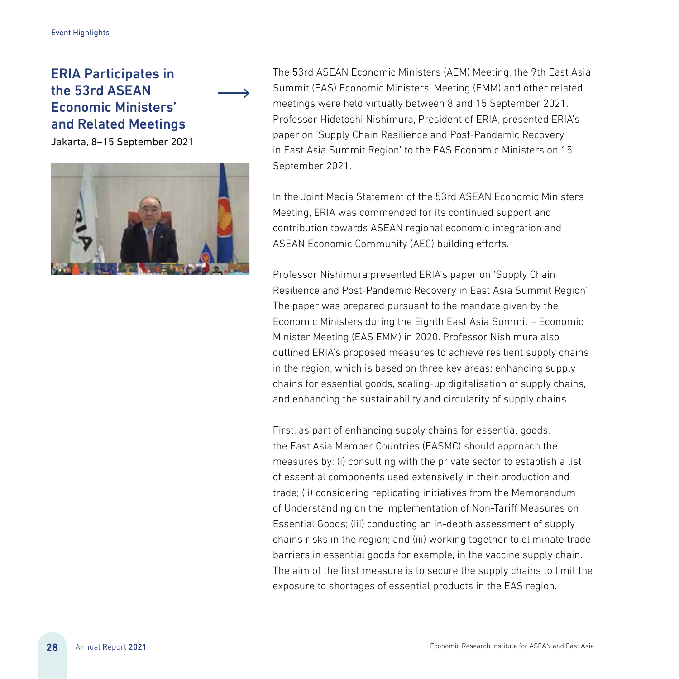# ERIA Participates in the 53rd ASEAN Economic Ministers' and Related Meetings

Jakarta, 8–15 September 2021



The 53rd ASEAN Economic Ministers (AEM) Meeting, the 9th East Asia Summit (EAS) Economic Ministers' Meeting (EMM) and other related meetings were held virtually between 8 and 15 September 2021. Professor Hidetoshi Nishimura, President of ERIA, presented ERIA's paper on 'Supply Chain Resilience and Post-Pandemic Recovery in East Asia Summit Region' to the EAS Economic Ministers on 15 September 2021.

In the Joint Media Statement of the 53rd ASEAN Economic Ministers Meeting, ERIA was commended for its continued support and contribution towards ASEAN regional economic integration and ASEAN Economic Community (AEC) building efforts.

Professor Nishimura presented ERIA's paper on 'Supply Chain Resilience and Post-Pandemic Recovery in East Asia Summit Region'. The paper was prepared pursuant to the mandate given by the Economic Ministers during the Eighth East Asia Summit – Economic Minister Meeting (EAS EMM) in 2020. Professor Nishimura also outlined ERIA's proposed measures to achieve resilient supply chains in the region, which is based on three key areas: enhancing supply chains for essential goods, scaling-up digitalisation of supply chains, and enhancing the sustainability and circularity of supply chains.

First, as part of enhancing supply chains for essential goods, the East Asia Member Countries (EASMC) should approach the measures by: (i) consulting with the private sector to establish a list of essential components used extensively in their production and trade; (ii) considering replicating initiatives from the Memorandum of Understanding on the Implementation of Non-Tariff Measures on Essential Goods; (iii) conducting an in-depth assessment of supply chains risks in the region; and (iii) working together to eliminate trade barriers in essential goods for example, in the vaccine supply chain. The aim of the first measure is to secure the supply chains to limit the exposure to shortages of essential products in the EAS region.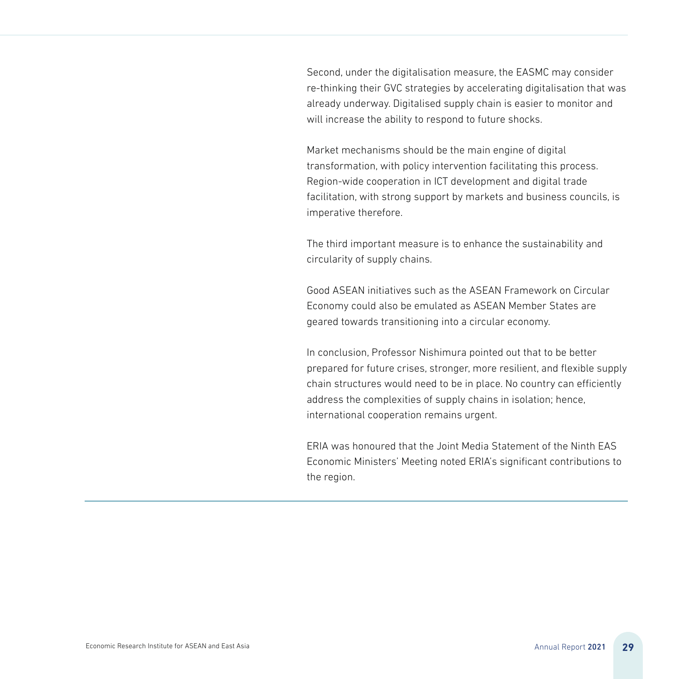Second, under the digitalisation measure, the EASMC may consider re-thinking their GVC strategies by accelerating digitalisation that was already underway. Digitalised supply chain is easier to monitor and will increase the ability to respond to future shocks.

Market mechanisms should be the main engine of digital transformation, with policy intervention facilitating this process. Region-wide cooperation in ICT development and digital trade facilitation, with strong support by markets and business councils, is imperative therefore.

The third important measure is to enhance the sustainability and circularity of supply chains.

Good ASEAN initiatives such as the ASEAN Framework on Circular Economy could also be emulated as ASEAN Member States are geared towards transitioning into a circular economy.

In conclusion, Professor Nishimura pointed out that to be better prepared for future crises, stronger, more resilient, and flexible supply chain structures would need to be in place. No country can efficiently address the complexities of supply chains in isolation; hence, international cooperation remains urgent.

ERIA was honoured that the Joint Media Statement of the Ninth EAS Economic Ministers' Meeting noted ERIA's significant contributions to the region.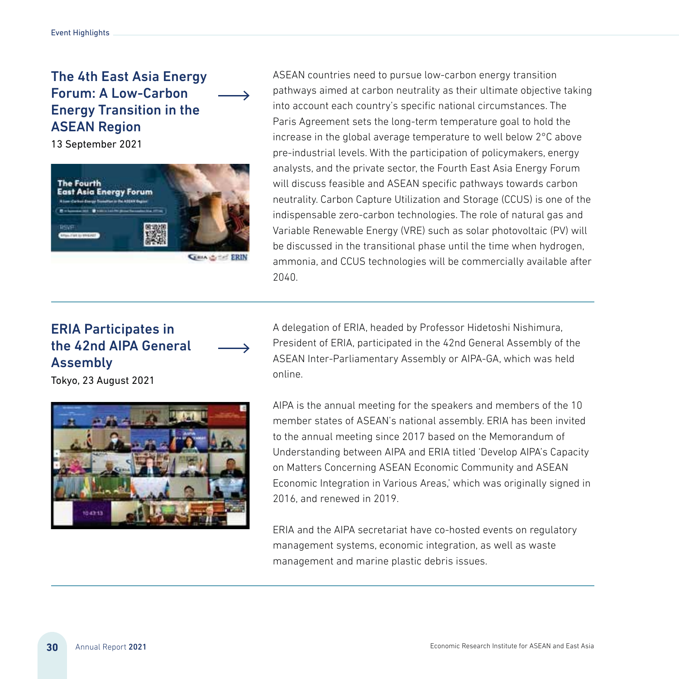### The 4th East Asia Energy Forum: A Low-Carbon Energy Transition in the ASEAN Region

13 September 2021



**GRIA Comment ERIN** 

ASEAN countries need to pursue low-carbon energy transition pathways aimed at carbon neutrality as their ultimate objective taking into account each country's specific national circumstances. The Paris Agreement sets the long-term temperature goal to hold the increase in the global average temperature to well below 2°C above pre-industrial levels. With the participation of policymakers, energy analysts, and the private sector, the Fourth East Asia Energy Forum will discuss feasible and ASEAN specific pathways towards carbon neutrality. Carbon Capture Utilization and Storage (CCUS) is one of the indispensable zero-carbon technologies. The role of natural gas and Variable Renewable Energy (VRE) such as solar photovoltaic (PV) will be discussed in the transitional phase until the time when hydrogen, ammonia, and CCUS technologies will be commercially available after 2040.

### ERIA Participates in the 42nd AIPA General Assembly

Tokyo, 23 August 2021



A delegation of ERIA, headed by Professor Hidetoshi Nishimura, President of ERIA, participated in the 42nd General Assembly of the ASEAN Inter-Parliamentary Assembly or AIPA-GA, which was held online.

AIPA is the annual meeting for the speakers and members of the 10 member states of ASEAN's national assembly. ERIA has been invited to the annual meeting since 2017 based on the Memorandum of Understanding between AIPA and ERIA titled 'Develop AIPA's Capacity on Matters Concerning ASEAN Economic Community and ASEAN Economic Integration in Various Areas,' which was originally signed in 2016, and renewed in 2019.

ERIA and the AIPA secretariat have co-hosted events on regulatory management systems, economic integration, as well as waste management and marine plastic debris issues.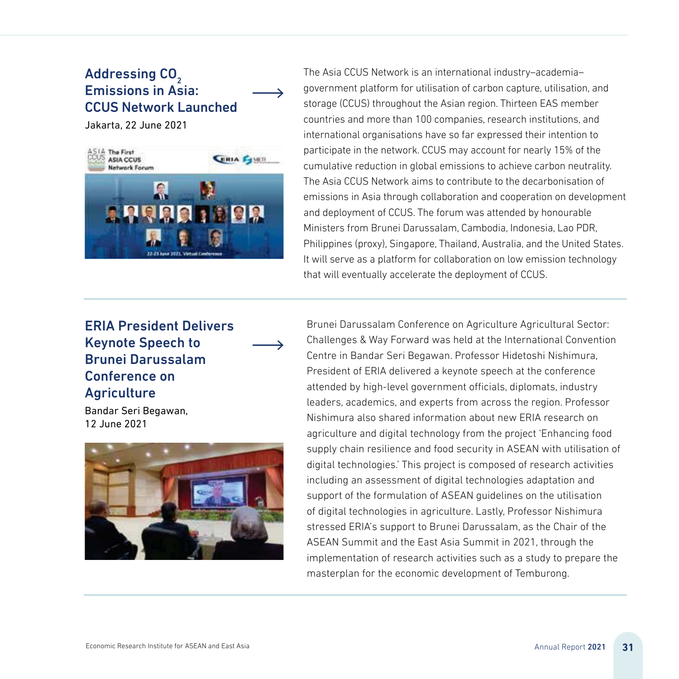### Addressing CO<sub>2</sub> Emissions in Asia: CCUS Network Launched

Jakarta, 22 June 2021



The Asia CCUS Network is an international industry–academia– government platform for utilisation of carbon capture, utilisation, and storage (CCUS) throughout the Asian region. Thirteen EAS member countries and more than 100 companies, research institutions, and international organisations have so far expressed their intention to participate in the network. CCUS may account for nearly 15% of the cumulative reduction in global emissions to achieve carbon neutrality. The Asia CCUS Network aims to contribute to the decarbonisation of emissions in Asia through collaboration and cooperation on development and deployment of CCUS. The forum was attended by honourable Ministers from Brunei Darussalam, Cambodia, Indonesia, Lao PDR, Philippines (proxy), Singapore, Thailand, Australia, and the United States. It will serve as a platform for collaboration on low emission technology that will eventually accelerate the deployment of CCUS.

# ERIA President Delivers Keynote Speech to Brunei Darussalam Conference on **Agriculture**

Bandar Seri Begawan, 12 June 2021



Brunei Darussalam Conference on Agriculture Agricultural Sector: Challenges & Way Forward was held at the International Convention Centre in Bandar Seri Begawan. Professor Hidetoshi Nishimura, President of ERIA delivered a keynote speech at the conference attended by high-level government officials, diplomats, industry leaders, academics, and experts from across the region. Professor Nishimura also shared information about new ERIA research on agriculture and digital technology from the project 'Enhancing food supply chain resilience and food security in ASEAN with utilisation of digital technologies.' This project is composed of research activities including an assessment of digital technologies adaptation and support of the formulation of ASEAN guidelines on the utilisation of digital technologies in agriculture. Lastly, Professor Nishimura stressed ERIA's support to Brunei Darussalam, as the Chair of the ASEAN Summit and the East Asia Summit in 2021, through the implementation of research activities such as a study to prepare the masterplan for the economic development of Temburong.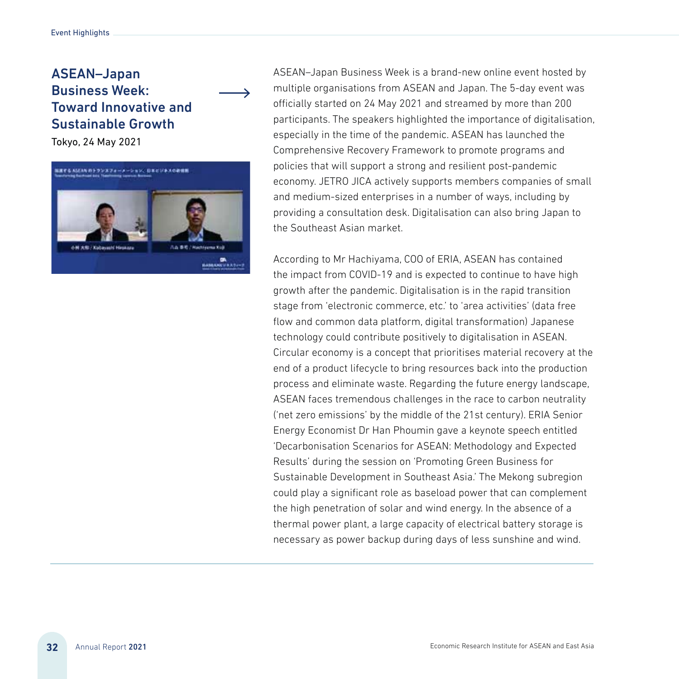# ASEAN–Japan Business Week: Toward Innovative and Sustainable Growth

Tokyo, 24 May 2021



ASEAN–Japan Business Week is a brand-new online event hosted by multiple organisations from ASEAN and Japan. The 5-day event was officially started on 24 May 2021 and streamed by more than 200 participants. The speakers highlighted the importance of digitalisation, especially in the time of the pandemic. ASEAN has launched the Comprehensive Recovery Framework to promote programs and policies that will support a strong and resilient post-pandemic economy. JETRO JICA actively supports members companies of small and medium-sized enterprises in a number of ways, including by providing a consultation desk. Digitalisation can also bring Japan to the Southeast Asian market.

According to Mr Hachiyama, COO of ERIA, ASEAN has contained the impact from COVID-19 and is expected to continue to have high growth after the pandemic. Digitalisation is in the rapid transition stage from 'electronic commerce, etc.' to 'area activities' (data free flow and common data platform, digital transformation) Japanese technology could contribute positively to digitalisation in ASEAN. Circular economy is a concept that prioritises material recovery at the end of a product lifecycle to bring resources back into the production process and eliminate waste. Regarding the future energy landscape, ASEAN faces tremendous challenges in the race to carbon neutrality ('net zero emissions' by the middle of the 21st century). ERIA Senior Energy Economist Dr Han Phoumin gave a keynote speech entitled 'Decarbonisation Scenarios for ASEAN: Methodology and Expected Results' during the session on 'Promoting Green Business for Sustainable Development in Southeast Asia.' The Mekong subregion could play a significant role as baseload power that can complement the high penetration of solar and wind energy. In the absence of a thermal power plant, a large capacity of electrical battery storage is necessary as power backup during days of less sunshine and wind.